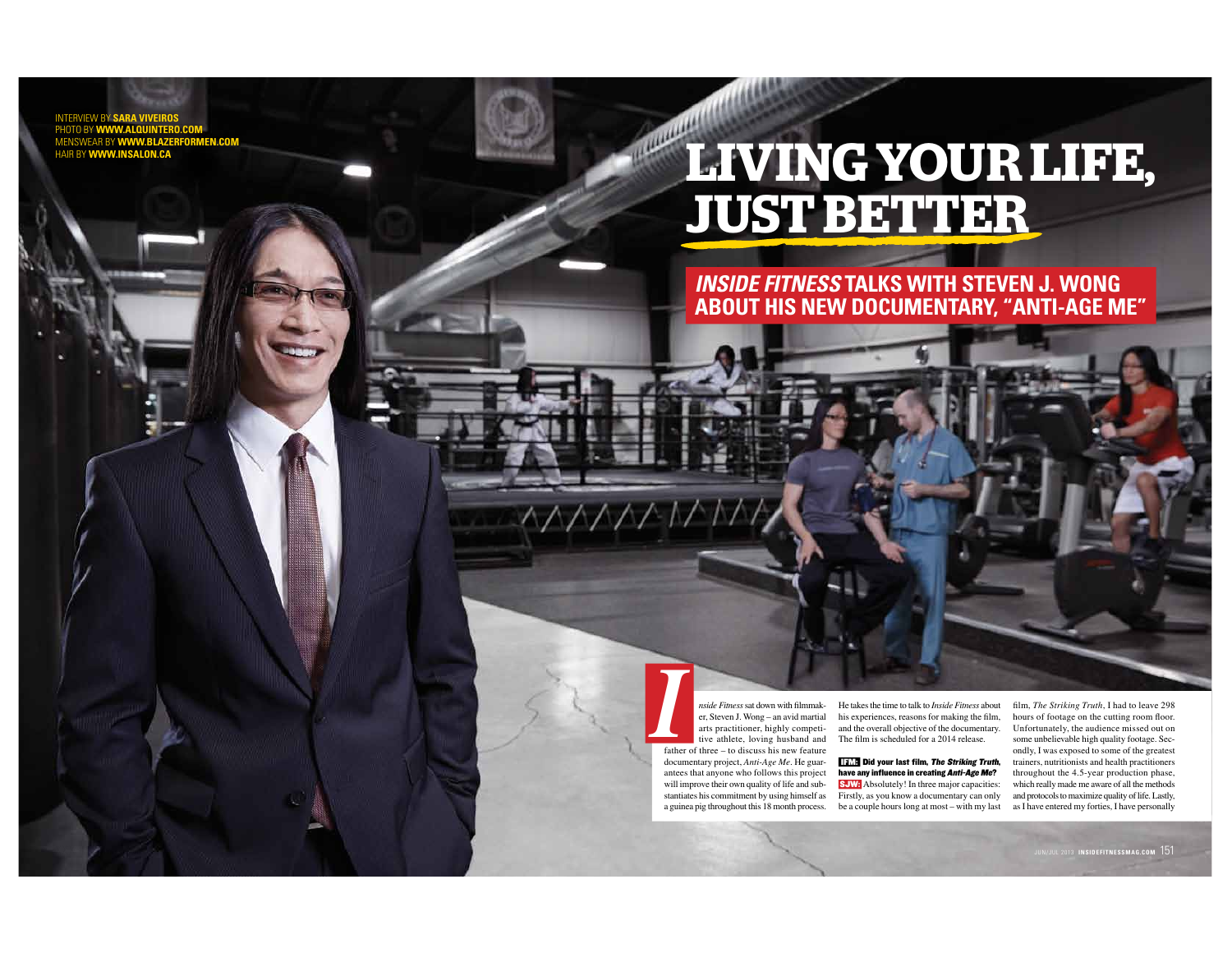**INTERVIEW BY SARA VIVEI** PHOTO BY WWW.ALQU **BY WWW.BLA** HAIR BY WWW.INSALON.CA

# $1111111111$ LIVING YOUR LIFE,

### **INSIDE FITNESS TALKS WITH STEVEN J. WONG** ABOUT HIS NEW DOCUMENTARY, "ANTI-AGE ME"

nside Fitness sat down with filmmaker, Steven J. Wong - an avid martial arts practitioner, highly competitive athlete, loving husband and father of three - to discuss his new feature documentary project, Anti-Age Me. He guar- $\frac{1}{2}$  antees that anyone who follows this project will improve their own quality of life and substantiates his commitment by using himself as a guinea pig throughout this 18 month process.

 $\wedge\wedge\wedge\wedge\wedge\wedge$ 

He takes the time to talk to Inside Fitness about his experiences, reasons for making the film, and the overall objective of the documentary. The film is scheduled for a 2014 release.

**HAME** Did your last film, The Striking Truth, have any influence in creating Anti-Age Me? **SJW:** Absolutely! In three major capacities: Firstly, as you know a documentary can only be a couple hours long at most – with my last film, The Striking Truth, I had to leave 298 hours of footage on the cutting room floor. Unfortunately, the audience missed out on some unbelievable high quality footage. Secondly, I was exposed to some of the greatest trainers, nutritionists and health practitioners throughout the 4.5-year production phase, which really made me aware of all the methods and protocols to maximize quality of life. Lastly, as I have entered my forties. I have personally

JN/JUL 2013 INSIDEFITNESSMAG.COM  $\,151$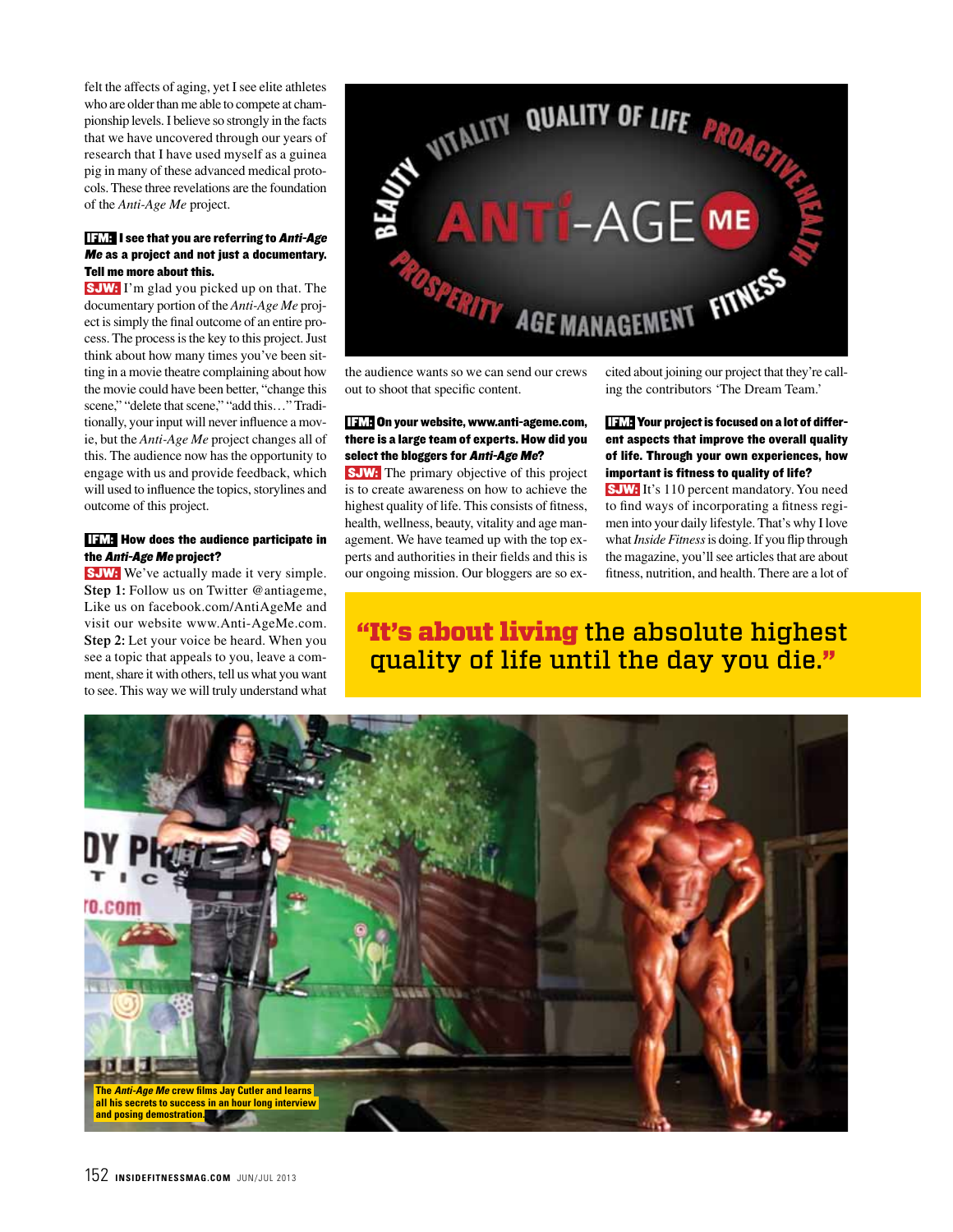felt the affects of aging, yet I see elite athletes who are older than me able to compete at championship levels. I believe so strongly in the facts that we have uncovered through our years of research that I have used myself as a guinea pig in many of these advanced medical protocols. These three revelations are the foundation of the *Anti-Age Me* project.

### IFM: I see that you are referring to Anti-Age Me as a project and not just a documentary. Tell me more about this.

 SJW: I'm glad you picked up on that. The documentary portion of the *Anti-Age Me* project is simply the final outcome of an entire process. The process is the key to this project. Just think about how many times you've been sitting in a movie theatre complaining about how the movie could have been better, "change this scene," "delete that scene," "add this..." Traditionally, your input will never influence a movie, but the *Anti-Age Me* project changes all of this. The audience now has the opportunity to engage with us and provide feedback, which will used to influence the topics, storylines and outcome of this project.

### IFM: How does the audience participate in the Anti-Age Me project?

**SJW:** We've actually made it very simple. **Step 1:** Follow us on Twitter @antiageme, Like us on facebook.com/AntiAgeMe and visit our website www.Anti-AgeMe.com. **Step 2:** Let your voice be heard. When you see a topic that appeals to you, leave a comment, share it with others, tell us what you want to see. This way we will truly understand what



the audience wants so we can send our crews out to shoot that specific content.

### IFM: On your website, www.anti-ageme.com, there is a large team of experts. How did you select the bloggers for Anti-Age Me?

 SJW: The primary objective of this project is to create awareness on how to achieve the highest quality of life. This consists of fitness, health, wellness, beauty, vitality and age management. We have teamed up with the top experts and authorities in their fields and this is our ongoing mission. Our bloggers are so excited about joining our project that they're calling the contributors 'The Dream Team.'

### **IFM:** Your project is focused on a lot of different aspects that improve the overall quality of life. Through your own experiences, how important is fitness to quality of life?

**SJW:** It's 110 percent mandatory. You need to find ways of incorporating a fitness regimen into your daily lifestyle. That's why I love what *Inside Fitness* is doing. If you flip through the magazine, you'll see articles that are about fitness, nutrition, and health. There are a lot of

## "It's about living the absolute highest quality of life until the day you die."